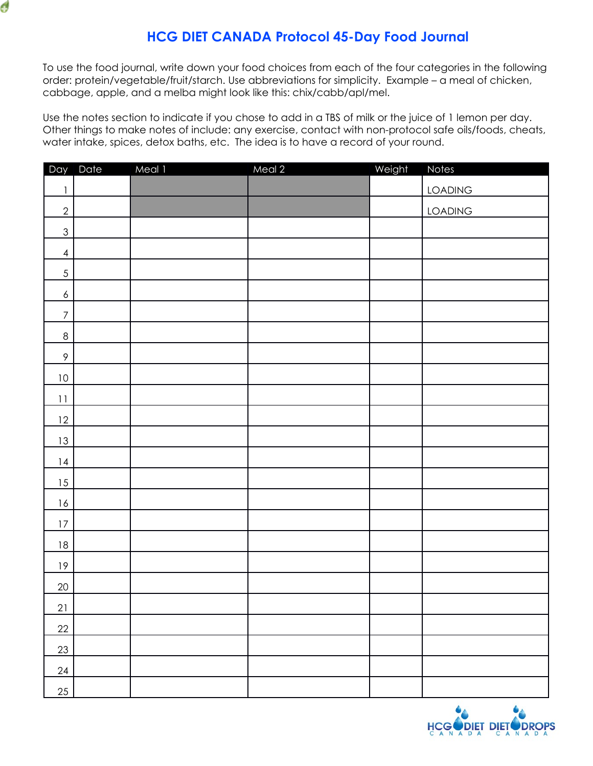

To use the food journal, write down your food choices from each of the four categories in the following order: protein/vegetable/fruit/starch. Use abbreviations for simplicity. Example – a meal of chicken, cabbage, apple, and a melba might look like this: chix/cabb/apl/mel.

Ó

Use the notes section to indicate if you chose to add in a TBS of milk or the juice of 1 lemon per day. Other things to make notes of include: any exercise, contact with non-protocol safe oils/foods, cheats, water intake, spices, detox baths, etc. The idea is to have a record of your round.

|                                       | Day Date | Meal 1 | Meal 2 | Weight | <b>Notes</b>   |
|---------------------------------------|----------|--------|--------|--------|----------------|
| $\begin{array}{c} \hline \end{array}$ |          |        |        |        | <b>LOADING</b> |
| $\overline{2}$                        |          |        |        |        | <b>LOADING</b> |
| $\mathfrak{S}% _{k}(G)$               |          |        |        |        |                |
| $\overline{4}$                        |          |        |        |        |                |
| $\sqrt{5}$                            |          |        |        |        |                |
| $\overline{6}$                        |          |        |        |        |                |
| $\boldsymbol{7}$                      |          |        |        |        |                |
| $\,8\,$                               |          |        |        |        |                |
| $\,9\,$                               |          |        |        |        |                |
| 10                                    |          |        |        |        |                |
| 11                                    |          |        |        |        |                |
| 12                                    |          |        |        |        |                |
| 13                                    |          |        |        |        |                |
| 14                                    |          |        |        |        |                |
| 15                                    |          |        |        |        |                |
| 16                                    |          |        |        |        |                |
| $17\,$                                |          |        |        |        |                |
| $18\,$                                |          |        |        |        |                |
| 19                                    |          |        |        |        |                |
| 20                                    |          |        |        |        |                |
| 21                                    |          |        |        |        |                |
| 22                                    |          |        |        |        |                |
| 23                                    |          |        |        |        |                |
| 24                                    |          |        |        |        |                |
| 25                                    |          |        |        |        |                |